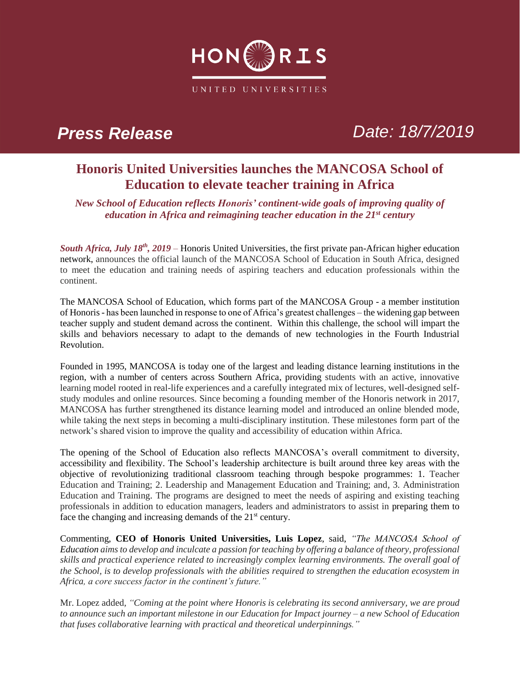

*Press Release Date: 18/7/2019*

## **Honoris United Universities launches the MANCOSA School of Education to elevate teacher training in Africa**

*New School of Education reflects Honoris' continent-wide goals of improving quality of education in Africa and reimagining teacher education in the 21st century*

*South Africa, July 18<sup>th</sup>, 2019* – Honoris United Universities, the first private pan-African higher education network, announces the official launch of the MANCOSA School of Education in South Africa, designed to meet the education and training needs of aspiring teachers and education professionals within the continent.

The MANCOSA School of Education, which forms part of the MANCOSA Group - a member institution of Honoris - has been launched in response to one of Africa's greatest challenges – the widening gap between teacher supply and student demand across the continent. Within this challenge, the school will impart the skills and behaviors necessary to adapt to the demands of new technologies in the Fourth Industrial Revolution.

Founded in 1995, MANCOSA is today one of the largest and leading distance learning institutions in the region, with a number of centers across Southern Africa, providing students with an active, innovative learning model rooted in real-life experiences and a carefully integrated mix of lectures, well-designed selfstudy modules and online resources. Since becoming a founding member of the Honoris network in 2017, MANCOSA has further strengthened its distance learning model and introduced an online blended mode, while taking the next steps in becoming a multi-disciplinary institution. These milestones form part of the network's shared vision to improve the quality and accessibility of education within Africa.

The opening of the School of Education also reflects MANCOSA's overall commitment to diversity, accessibility and flexibility. The School's leadership architecture is built around three key areas with the objective of revolutionizing traditional classroom teaching through bespoke programmes: 1. Teacher Education and Training; 2. Leadership and Management Education and Training; and, 3. Administration Education and Training. The programs are designed to meet the needs of aspiring and existing teaching professionals in addition to education managers, leaders and administrators to assist in preparing them to face the changing and increasing demands of the  $21<sup>st</sup>$  century.

Commenting, **CEO of Honoris United Universities, Luis Lopez**, said, *"The MANCOSA School of Education aims to develop and inculcate a passion for teaching by offering a balance of theory, professional skills and practical experience related to increasingly complex learning environments. The overall goal of the School, is to develop professionals with the abilities required to strengthen the education ecosystem in Africa, a core success factor in the continent's future."*

Mr. Lopez added*, "Coming at the point where Honoris is celebrating its second anniversary, we are proud to announce such an important milestone in our Education for Impact journey – a new School of Education that fuses collaborative learning with practical and theoretical underpinnings."*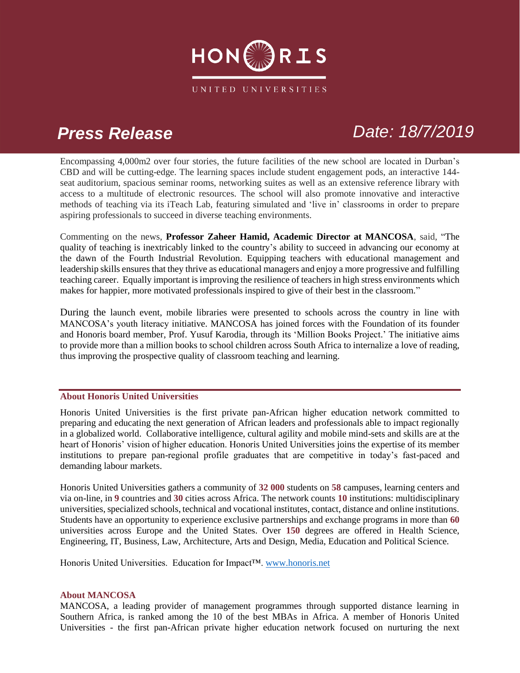

# *Press Release Date: 18/7/2019*

Encompassing 4,000m2 over four stories, the future facilities of the new school are located in Durban's CBD and will be cutting-edge. The learning spaces include student engagement pods, an interactive 144 seat auditorium, spacious seminar rooms, networking suites as well as an extensive reference library with access to a multitude of electronic resources. The school will also promote innovative and interactive methods of teaching via its iTeach Lab, featuring simulated and 'live in' classrooms in order to prepare aspiring professionals to succeed in diverse teaching environments.

Commenting on the news, **Professor Zaheer Hamid, Academic Director at MANCOSA**, said, "The quality of teaching is inextricably linked to the country's ability to succeed in advancing our economy at the dawn of the Fourth Industrial Revolution. Equipping teachers with educational management and leadership skills ensures that they thrive as educational managers and enjoy a more progressive and fulfilling teaching career. Equally important is improving the resilience of teachers in high stress environments which makes for happier, more motivated professionals inspired to give of their best in the classroom."

During the launch event, mobile libraries were presented to schools across the country in line with MANCOSA's youth literacy initiative. MANCOSA has joined forces with the Foundation of its founder and Honoris board member, Prof. Yusuf Karodia, through its 'Million Books Project.' The initiative aims to provide more than a million books to school children across South Africa to internalize a love of reading, thus improving the prospective quality of classroom teaching and learning.

### **About Honoris United Universities**

Honoris United Universities is the first private pan-African higher education network committed to preparing and educating the next generation of African leaders and professionals able to impact regionally in a globalized world. Collaborative intelligence, cultural agility and mobile mind-sets and skills are at the heart of Honoris' vision of higher education. Honoris United Universities joins the expertise of its member institutions to prepare pan-regional profile graduates that are competitive in today's fast-paced and demanding labour markets.

Honoris United Universities gathers a community of **32 000** students on **58** campuses, learning centers and via on-line, in **9** countries and **30** cities across Africa. The network counts **10** institutions: multidisciplinary universities, specialized schools, technical and vocational institutes, contact, distance and online institutions. Students have an opportunity to experience exclusive partnerships and exchange programs in more than **60**  universities across Europe and the United States. Over **150** degrees are offered in Health Science, Engineering, IT, Business, Law, Architecture, Arts and Design, Media, Education and Political Science.

Honoris United Universities. Education for Impact™. [www.honoris.net](http://www.honoris.net/)

### **About MANCOSA**

MANCOSA, a leading provider of management programmes through supported distance learning in Southern Africa, is ranked among the 10 of the best MBAs in Africa. A member of Honoris United Universities - the first pan-African private higher education network focused on nurturing the next